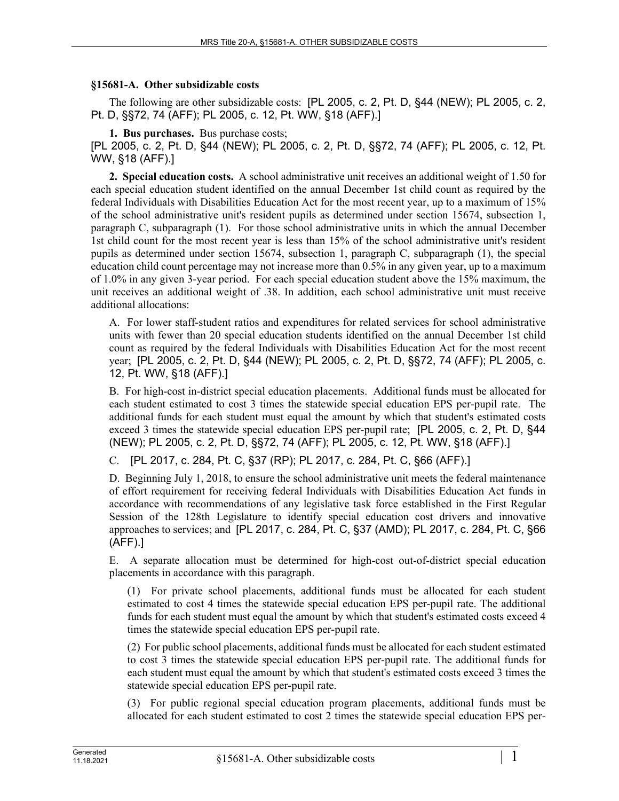## **§15681-A. Other subsidizable costs**

The following are other subsidizable costs: [PL 2005, c. 2, Pt. D, §44 (NEW); PL 2005, c. 2, Pt. D, §§72, 74 (AFF); PL 2005, c. 12, Pt. WW, §18 (AFF).]

**1. Bus purchases.** Bus purchase costs;

[PL 2005, c. 2, Pt. D, §44 (NEW); PL 2005, c. 2, Pt. D, §§72, 74 (AFF); PL 2005, c. 12, Pt. WW, §18 (AFF).]

**2. Special education costs.** A school administrative unit receives an additional weight of 1.50 for each special education student identified on the annual December 1st child count as required by the federal Individuals with Disabilities Education Act for the most recent year, up to a maximum of 15% of the school administrative unit's resident pupils as determined under section 15674, subsection 1, paragraph C, subparagraph (1). For those school administrative units in which the annual December 1st child count for the most recent year is less than 15% of the school administrative unit's resident pupils as determined under section 15674, subsection 1, paragraph C, subparagraph (1), the special education child count percentage may not increase more than 0.5% in any given year, up to a maximum of 1.0% in any given 3-year period. For each special education student above the 15% maximum, the unit receives an additional weight of .38. In addition, each school administrative unit must receive additional allocations:

A. For lower staff-student ratios and expenditures for related services for school administrative units with fewer than 20 special education students identified on the annual December 1st child count as required by the federal Individuals with Disabilities Education Act for the most recent year; [PL 2005, c. 2, Pt. D, §44 (NEW); PL 2005, c. 2, Pt. D, §§72, 74 (AFF); PL 2005, c. 12, Pt. WW, §18 (AFF).]

B. For high-cost in-district special education placements. Additional funds must be allocated for each student estimated to cost 3 times the statewide special education EPS per-pupil rate. The additional funds for each student must equal the amount by which that student's estimated costs exceed 3 times the statewide special education EPS per-pupil rate; [PL 2005, c. 2, Pt. D, §44 (NEW); PL 2005, c. 2, Pt. D, §§72, 74 (AFF); PL 2005, c. 12, Pt. WW, §18 (AFF).]

C. [PL 2017, c. 284, Pt. C, §37 (RP); PL 2017, c. 284, Pt. C, §66 (AFF).]

D. Beginning July 1, 2018, to ensure the school administrative unit meets the federal maintenance of effort requirement for receiving federal Individuals with Disabilities Education Act funds in accordance with recommendations of any legislative task force established in the First Regular Session of the 128th Legislature to identify special education cost drivers and innovative approaches to services; and [PL 2017, c. 284, Pt. C, §37 (AMD); PL 2017, c. 284, Pt. C, §66 (AFF).]

E. A separate allocation must be determined for high-cost out-of-district special education placements in accordance with this paragraph.

(1) For private school placements, additional funds must be allocated for each student estimated to cost 4 times the statewide special education EPS per-pupil rate. The additional funds for each student must equal the amount by which that student's estimated costs exceed 4 times the statewide special education EPS per-pupil rate.

(2) For public school placements, additional funds must be allocated for each student estimated to cost 3 times the statewide special education EPS per-pupil rate. The additional funds for each student must equal the amount by which that student's estimated costs exceed 3 times the statewide special education EPS per-pupil rate.

(3) For public regional special education program placements, additional funds must be allocated for each student estimated to cost 2 times the statewide special education EPS per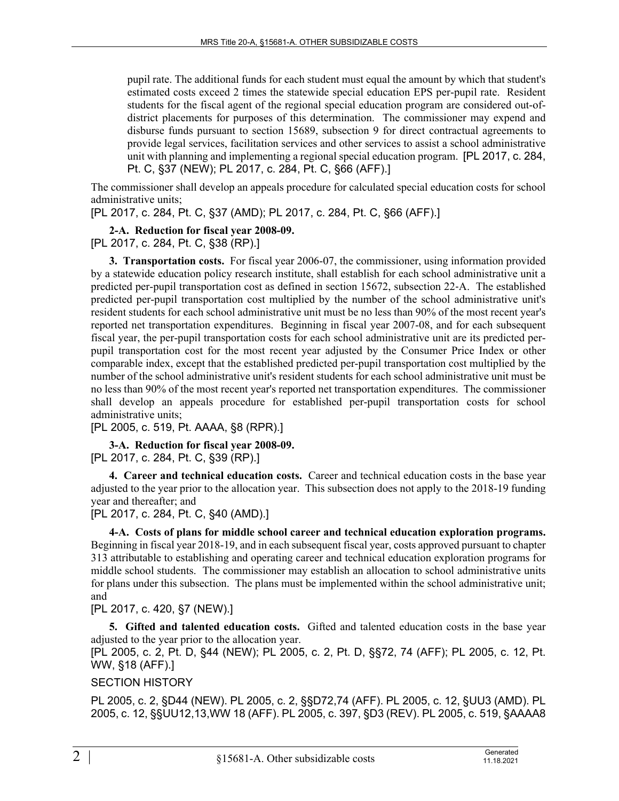pupil rate. The additional funds for each student must equal the amount by which that student's estimated costs exceed 2 times the statewide special education EPS per-pupil rate. Resident students for the fiscal agent of the regional special education program are considered out-ofdistrict placements for purposes of this determination. The commissioner may expend and disburse funds pursuant to section 15689, subsection 9 for direct contractual agreements to provide legal services, facilitation services and other services to assist a school administrative unit with planning and implementing a regional special education program. [PL 2017, c. 284, Pt. C, §37 (NEW); PL 2017, c. 284, Pt. C, §66 (AFF).]

The commissioner shall develop an appeals procedure for calculated special education costs for school administrative units;

[PL 2017, c. 284, Pt. C, §37 (AMD); PL 2017, c. 284, Pt. C, §66 (AFF).]

**2-A. Reduction for fiscal year 2008-09.**  [PL 2017, c. 284, Pt. C, §38 (RP).]

**3. Transportation costs.** For fiscal year 2006-07, the commissioner, using information provided by a statewide education policy research institute, shall establish for each school administrative unit a predicted per-pupil transportation cost as defined in section 15672, subsection 22‑A. The established predicted per-pupil transportation cost multiplied by the number of the school administrative unit's resident students for each school administrative unit must be no less than 90% of the most recent year's reported net transportation expenditures. Beginning in fiscal year 2007-08, and for each subsequent fiscal year, the per-pupil transportation costs for each school administrative unit are its predicted perpupil transportation cost for the most recent year adjusted by the Consumer Price Index or other comparable index, except that the established predicted per-pupil transportation cost multiplied by the number of the school administrative unit's resident students for each school administrative unit must be no less than 90% of the most recent year's reported net transportation expenditures. The commissioner shall develop an appeals procedure for established per-pupil transportation costs for school administrative units;

[PL 2005, c. 519, Pt. AAAA, §8 (RPR).]

**3-A. Reduction for fiscal year 2008-09.**  [PL 2017, c. 284, Pt. C, §39 (RP).]

**4. Career and technical education costs.** Career and technical education costs in the base year adjusted to the year prior to the allocation year. This subsection does not apply to the 2018-19 funding year and thereafter; and

[PL 2017, c. 284, Pt. C, §40 (AMD).]

**4-A. Costs of plans for middle school career and technical education exploration programs.**  Beginning in fiscal year 2018-19, and in each subsequent fiscal year, costs approved pursuant to chapter 313 attributable to establishing and operating career and technical education exploration programs for middle school students. The commissioner may establish an allocation to school administrative units for plans under this subsection. The plans must be implemented within the school administrative unit; and

[PL 2017, c. 420, §7 (NEW).]

**5. Gifted and talented education costs.** Gifted and talented education costs in the base year adjusted to the year prior to the allocation year.

[PL 2005, c. 2, Pt. D, §44 (NEW); PL 2005, c. 2, Pt. D, §§72, 74 (AFF); PL 2005, c. 12, Pt. WW, §18 (AFF).]

## SECTION HISTORY

PL 2005, c. 2, §D44 (NEW). PL 2005, c. 2, §§D72,74 (AFF). PL 2005, c. 12, §UU3 (AMD). PL 2005, c. 12, §§UU12,13,WW 18 (AFF). PL 2005, c. 397, §D3 (REV). PL 2005, c. 519, §AAAA8